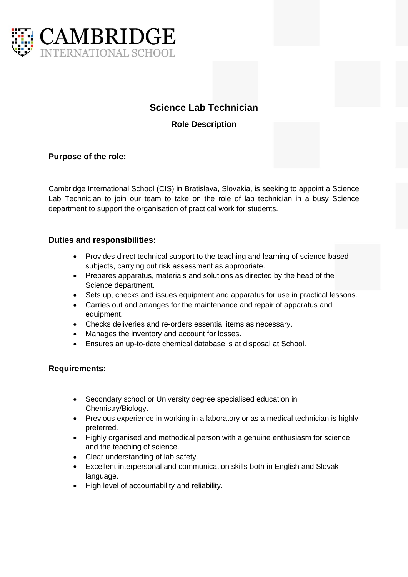

# **Science Lab Technician**

**Role Description**

### **Purpose of the role:**

Cambridge International School (CIS) in Bratislava, Slovakia, is seeking to appoint a Science Lab Technician to join our team to take on the role of lab technician in a busy Science department to support the organisation of practical work for students.

### **Duties and responsibilities:**

- Provides direct technical support to the teaching and learning of science-based subjects, carrying out risk assessment as appropriate.
- Prepares apparatus, materials and solutions as directed by the head of the Science department.
- Sets up, checks and issues equipment and apparatus for use in practical lessons.
- Carries out and arranges for the maintenance and repair of apparatus and equipment.
- Checks deliveries and re-orders essential items as necessary.
- Manages the inventory and account for losses.
- Ensures an up-to-date chemical database is at disposal at School.

#### **Requirements:**

- Secondary school or University degree specialised education in Chemistry/Biology.
- Previous experience in working in a laboratory or as a medical technician is highly preferred.
- Highly organised and methodical person with a genuine enthusiasm for science and the teaching of science.
- Clear understanding of lab safety.
- Excellent interpersonal and communication skills both in English and Slovak language.
- High level of accountability and reliability.